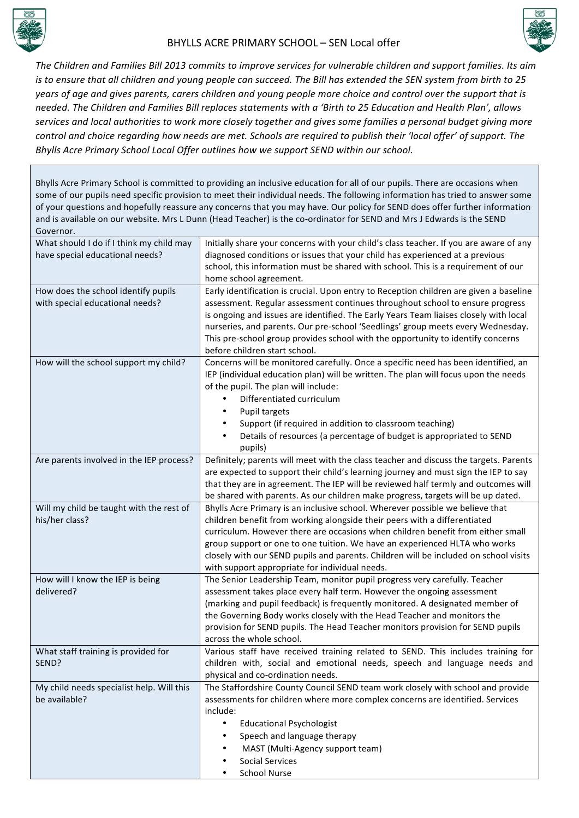



The Children and Families Bill 2013 commits to improve services for vulnerable children and support families. Its aim *is* to ensure that all children and young people can succeed. The Bill has extended the SEN system from birth to 25 *years* of age and gives parents, carers children and young people more choice and control over the support that is needed. The Children and Families Bill replaces statements with a 'Birth to 25 Education and Health Plan', allows services and local authorities to work more closely together and gives some families a personal budget giving more *control* and choice regarding how needs are met. Schools are required to publish their 'local offer' of support. The *Bhylls Acre Primary School Local Offer outlines how we support SEND within our school.* 

Bhylls Acre Primary School is committed to providing an inclusive education for all of our pupils. There are occasions when some of our pupils need specific provision to meet their individual needs. The following information has tried to answer some of your questions and hopefully reassure any concerns that you may have. Our policy for SEND does offer further information and is available on our website. Mrs L Dunn (Head Teacher) is the co-ordinator for SEND and Mrs J Edwards is the SEND Governor.

| What should I do if I think my child may<br>have special educational needs? | Initially share your concerns with your child's class teacher. If you are aware of any<br>diagnosed conditions or issues that your child has experienced at a previous  |
|-----------------------------------------------------------------------------|-------------------------------------------------------------------------------------------------------------------------------------------------------------------------|
|                                                                             | school, this information must be shared with school. This is a requirement of our                                                                                       |
|                                                                             | home school agreement.                                                                                                                                                  |
| How does the school identify pupils<br>with special educational needs?      | Early identification is crucial. Upon entry to Reception children are given a baseline<br>assessment. Regular assessment continues throughout school to ensure progress |
|                                                                             | is ongoing and issues are identified. The Early Years Team liaises closely with local                                                                                   |
|                                                                             | nurseries, and parents. Our pre-school 'Seedlings' group meets every Wednesday.                                                                                         |
|                                                                             | This pre-school group provides school with the opportunity to identify concerns                                                                                         |
|                                                                             | before children start school.                                                                                                                                           |
| How will the school support my child?                                       | Concerns will be monitored carefully. Once a specific need has been identified, an                                                                                      |
|                                                                             | IEP (individual education plan) will be written. The plan will focus upon the needs<br>of the pupil. The plan will include:                                             |
|                                                                             | Differentiated curriculum                                                                                                                                               |
|                                                                             | Pupil targets                                                                                                                                                           |
|                                                                             | Support (if required in addition to classroom teaching)                                                                                                                 |
|                                                                             | Details of resources (a percentage of budget is appropriated to SEND<br>٠<br>pupils)                                                                                    |
| Are parents involved in the IEP process?                                    | Definitely; parents will meet with the class teacher and discuss the targets. Parents                                                                                   |
|                                                                             | are expected to support their child's learning journey and must sign the IEP to say                                                                                     |
|                                                                             | that they are in agreement. The IEP will be reviewed half termly and outcomes will                                                                                      |
|                                                                             | be shared with parents. As our children make progress, targets will be up dated.                                                                                        |
| Will my child be taught with the rest of<br>his/her class?                  | Bhylls Acre Primary is an inclusive school. Wherever possible we believe that<br>children benefit from working alongside their peers with a differentiated              |
|                                                                             | curriculum. However there are occasions when children benefit from either small                                                                                         |
|                                                                             | group support or one to one tuition. We have an experienced HLTA who works                                                                                              |
|                                                                             | closely with our SEND pupils and parents. Children will be included on school visits                                                                                    |
|                                                                             | with support appropriate for individual needs.                                                                                                                          |
| How will I know the IEP is being                                            | The Senior Leadership Team, monitor pupil progress very carefully. Teacher                                                                                              |
| delivered?                                                                  | assessment takes place every half term. However the ongoing assessment<br>(marking and pupil feedback) is frequently monitored. A designated member of                  |
|                                                                             | the Governing Body works closely with the Head Teacher and monitors the                                                                                                 |
|                                                                             | provision for SEND pupils. The Head Teacher monitors provision for SEND pupils                                                                                          |
|                                                                             | across the whole school.                                                                                                                                                |
| What staff training is provided for                                         | Various staff have received training related to SEND. This includes training for                                                                                        |
| SEND?                                                                       | children with, social and emotional needs, speech and language needs and                                                                                                |
|                                                                             | physical and co-ordination needs.                                                                                                                                       |
| My child needs specialist help. Will this<br>be available?                  | The Staffordshire County Council SEND team work closely with school and provide<br>assessments for children where more complex concerns are identified. Services        |
|                                                                             | include:                                                                                                                                                                |
|                                                                             | <b>Educational Psychologist</b><br>$\bullet$                                                                                                                            |
|                                                                             | Speech and language therapy                                                                                                                                             |
|                                                                             | MAST (Multi-Agency support team)                                                                                                                                        |
|                                                                             | <b>Social Services</b>                                                                                                                                                  |
|                                                                             | <b>School Nurse</b>                                                                                                                                                     |